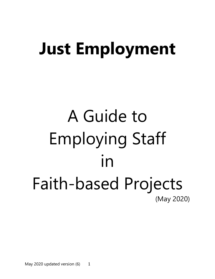# **Just Employment**

# A Guide to Employing Staff in Faith-based Projects (May 2020)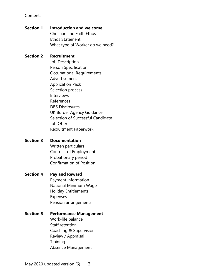## **Contents**

## **Section 1 Introduction and welcome** Christian and Faith Ethos Ethos Statement What type of Worker do we need?

## **Section 2 Recruitment**

Job Description Person Specification Occupational Requirements Advertisement Application Pack Selection process Interviews References DBS Disclosures UK Border Agency Guidance Selection of Successful Candidate Job Offer Recruitment Paperwork

#### **Section 3 Documentation**

Written particulars Contract of Employment Probationary period Confirmation of Position

## **Section 4 Pay and Reward**

Payment information National Minimum Wage Holiday Entitlements Expenses Pension arrangements

# **Section 5 Performance Management**

Work-life balance Staff retention Coaching & Supervision Review / Appraisal **Training** Absence Management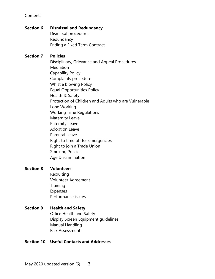## **Contents**

#### **Section 6 Dismissal and Redundancy** Dismissal procedures

Redundancy Ending a Fixed Term Contract

## **Section 7 Policies**

Disciplinary, Grievance and Appeal Procedures Mediation Capability Policy Complaints procedure Whistle blowing Policy Equal Opportunities Policy Health & Safety Protection of Children and Adults who are Vulnerable Lone Working Working Time Regulations Maternity Leave Paternity Leave Adoption Leave Parental Leave Right to time off for emergencies Right to join a Trade Union Smoking Policies Age Discrimination

## **Section 8 Volunteers**

**Recruiting** Volunteer Agreement **Training** Expenses Performance issues

#### **Section 9 Health and Safety**

Office Health and Safety Display Screen Equipment guidelines Manual Handling Risk Assessment

#### **Section 10 Useful Contacts and Addresses**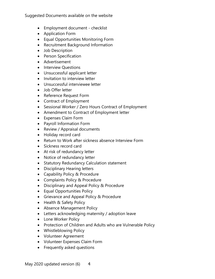Suggested Documents available on the website

- Employment document checklist
- Application Form
- Equal Opportunities Monitoring Form
- Recruitment Background Information
- Job Description
- Person Specification
- Advertisement
- Interview Questions
- Unsuccessful applicant letter
- Invitation to interview letter
- Unsuccessful interviewee letter
- Job Offer letter
- Reference Request Form
- Contract of Employment
- Sessional Worker / Zero Hours Contract of Employment
- Amendment to Contract of Employment letter
- Expenses Claim Form
- Payroll Information Form
- Review / Appraisal documents
- Holiday record card
- Return to Work after sickness absence Interview Form
- Sickness record card
- At risk of redundancy letter
- Notice of redundancy letter
- Statutory Redundancy Calculation statement
- Disciplinary Hearing letters
- Capability Policy & Procedure
- Complaints Policy & Procedure
- Disciplinary and Appeal Policy & Procedure
- Equal Opportunities Policy
- Grievance and Appeal Policy & Procedure
- Health & Safety Policy
- Absence Management Policy
- Letters acknowledging maternity / adoption leave
- Lone Worker Policy
- Protection of Children and Adults who are Vulnerable Policy
- Whistleblowing Policy
- Volunteer Agreement
- Volunteer Expenses Claim Form
- Frequently asked questions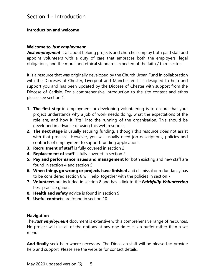# Section 1 - Introduction

#### **Introduction and welcome**

#### **Welcome to** *Just employment*

*Just employment* is all about helping projects and churches employ both paid staff and appoint volunteers with a duty of care that embraces both the employers' legal obligations, and the moral and ethical standards expected of the faith / third sector.

It is a resource that was originally developed by the Church Urban Fund in collaboration with the Dioceses of Chester, Liverpool and Manchester. It is designed to help and support you and has been updated by the Diocese of Chester with support from the Diocese of Carlisle. For a comprehensive introduction to the site content and ethos please see section 1.

- **1. The first step** in employment or developing volunteering is to ensure that your project understands why a job of work needs doing, what the expectations of the role are, and how it "fits" into the running of the organisation. This should be developed in advance of using this web resource.
- **2. The next stage** is usually securing funding, although this resource does not assist with that process. However, you will usually need job descriptions, policies and contracts of employment to support funding applications.
- **3. Recruitment of staff** is fully covered in section 2
- **4. Replacement of staff** is fully covered in section 2
- **5. Pay and performance issues and management** for both existing and new staff are found in section 4 and section 5
- **6. When things go wrong or projects have finished** and dismissal or redundancy has to be considered section 6 will help, together with the policies in section 7
- **7. Volunteers** are included in section 8 and has a link to the *Faithfully Volunteering*  best practice guide.
- **8. Health and safety** advice is found in section 9
- **9. Useful contacts** are found in section 10

#### **Navigation**

The *Just employment* document is extensive with a comprehensive range of resources. No project will use all of the options at any one time; it is a buffet rather than a set menu!

**And finally** seek help where necessary. The Diocesan staff will be pleased to provide help and support. Please see the website for contact details.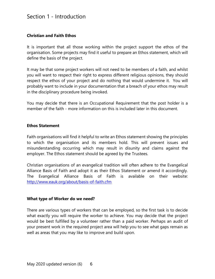# Section 1 - Introduction

## **Christian and Faith Ethos**

It is important that all those working within the project support the ethos of the organisation. Some projects may find it useful to prepare an Ethos statement, which will define the basis of the project.

It may be that some project workers will not need to be members of a faith, and whilst you will want to respect their right to express different religious opinions, they should respect the ethos of your project and do nothing that would undermine it. You will probably want to include in your documentation that a breach of your ethos may result in the disciplinary procedure being invoked.

You may decide that there is an Occupational Requirement that the post holder is a member of the faith - more information on this is included later in this document.

#### **Ethos Statement**

Faith organisations will find it helpful to write an Ethos statement showing the principles to which the organisation and its members hold. This will prevent issues and misunderstanding occurring which may result in disunity and claims against the employer. The Ethos statement should be agreed by the Trustees.

Christian organisations of an evangelical tradition will often adhere to the Evangelical Alliance Basis of Faith and adopt it as their Ethos Statement or amend it accordingly. The Evangelical Alliance Basis of Faith is available on their website: <http://www.eauk.org/about/basis-of-faith.cfm>

#### **What type of Worker do we need?**

There are various types of workers that can be employed, so the first task is to decide what exactly you will require the worker to achieve. You may decide that the project would be best fulfilled by a volunteer rather than a paid worker. Perhaps an audit of your present work in the required project area will help you to see what gaps remain as well as areas that you may like to improve and build upon.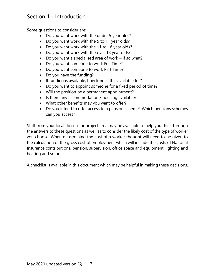# Section 1 - Introduction

Some questions to consider are:

- Do you want work with the under 5 year olds?
- Do you want work with the 5 to 11 year olds?
- Do you want work with the 11 to 18 year olds?
- Do you want work with the over 18 year olds?
- Do you want a specialised area of work if so what?
- Do you want someone to work Full Time?
- Do you want someone to work Part Time?
- Do you have the funding?
- If funding is available, how long is this available for?
- Do you want to appoint someone for a fixed period of time?
- Will the position be a permanent appointment?
- Is there any accommodation / housing available?
- What other benefits may you want to offer?
- Do you intend to offer access to a pension scheme? Which pensions schemes can you access?

Staff from your local diocese or project area may be available to help you think through the answers to these questions as well as to consider the likely cost of the type of worker you choose. When determining the cost of a worker thought will need to be given to the calculation of the gross cost of employment which will include the costs of National Insurance contributions, pension, supervision, office space and equipment, lighting and heating and so on.

A checklist is available in this document which may be helpful in making these decisions.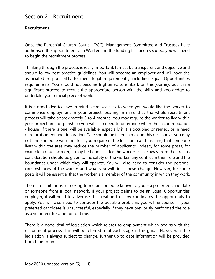## **Recruitment**

Once the Parochial Church Council (PCC), Management Committee and Trustees have authorised the appointment of a Worker and the funding has been secured, you will need to begin the recruitment process.

Thinking through the process is really important. It must be transparent and objective and should follow best practice guidelines. You will become an employer and will have the associated responsibility to meet legal requirements, including Equal Opportunities requirements. You should not become frightened to embark on this journey, but it is a significant process to recruit the appropriate person with the skills and knowledge to undertake your crucial piece of work.

It is a good idea to have in mind a timescale as to when you would like the worker to commence employment in your project, bearing in mind that the whole recruitment process will take approximately 3 to 4 months. You may require the worker to live within your project area or parish so you will also need to determine when the accommodation / house (if there is one) will be available, especially if it is occupied or rented, or in need of refurbishment and decorating. Care should be taken in making this decision as you may not find someone with the skills you require in the local area and insisting that someone lives within the area may reduce the number of applicants. Indeed, for some posts, for example a drugs worker, it may be beneficial for the worker to live away from the area as consideration should be given to the safety of the worker, any conflict in their role and the boundaries under which they will operate. You will also need to consider the personal circumstances of the worker and what you will do if these change. However, for some posts it will be essential that the worker is a member of the community in which they work.

There are limitations in seeking to recruit someone known to you – a preferred candidate or someone from a local network. If your project claims to be an Equal Opportunities employer, it will need to advertise the position to allow candidates the opportunity to apply. You will also need to consider the possible problems you will encounter if your preferred candidate is unsuccessful, especially if they have previously performed the role as a volunteer for a period of time.

There is a good deal of legislation which relates to employment which begins with the recruitment process. This will be referred to at each stage in this guide. However, as the legislation is always subject to change, further up to date information will be provided from time to time.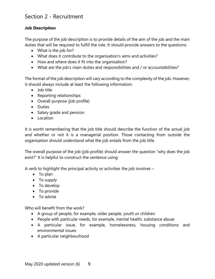# **Job Description**

The purpose of the job description is to provide details of the aim of the job and the main duties that will be required to fulfill the role. It should provide answers to the questions:

- What is the job for?
- What does it contribute to the organisation's aims and activities?
- How and where does it fit into the organisation?
- What are the job's main duties and responsibilities and / or accountabilities?

The format of the job description will vary according to the complexity of the job. However, it should always include at least the following information:

- Job title
- Reporting relationships
- Overall purpose (job profile)
- Duties
- Salary grade and pension
- Location

It is worth remembering that the job title should describe the function of the actual job and whether or not it is a managerial position. Those contacting from outside the organisation should understand what the job entails from the job title.

The overall purpose of the job (job profile) should answer the question "why does the job exist?" It is helpful to construct the sentence using:

A verb to highlight the principal activity or activities the job involves –

- To plan
- To supply
- To develop
- To provide
- To advise

Who will benefit from the work?

- A group of people, for example, older people, youth or children
- People with particular needs, for example, mental health, substance abuse
- A particular issue, for example, homelessness, housing conditions and environmental issues
- A particular neighbourhood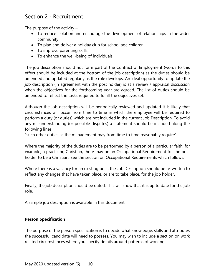The purpose of the activity  $-$ 

- To reduce isolation and encourage the development of relationships in the wider community
- To plan and deliver a holiday club for school age children
- To improve parenting skills
- To enhance the well-being of individuals

The job description should not form part of the Contract of Employment (words to this effect should be included at the bottom of the job description) as the duties should be amended and updated regularly as the role develops. An ideal opportunity to update the job description (in agreement with the post holder) is at a review / appraisal discussion when the objectives for the forthcoming year are agreed. The list of duties should be amended to reflect the tasks required to fulfill the objectives set.

Although the job description will be periodically reviewed and updated it is likely that circumstances will occur from time to time in which the employee will be required to perform a duty (or duties) which are not included in the current Job Description. To avoid any misunderstanding (or possible disputes) a statement should be included along the following lines:

"such other duties as the management may from time to time reasonably require".

Where the majority of the duties are to be performed by a person of a particular faith, for example, a practicing Christian, there may be an Occupational Requirement for the post holder to be a Christian. See the section on Occupational Requirements which follows.

Where there is a vacancy for an existing post, the Job Description should be re-written to reflect any changes that have taken place, or are to take place, for the job holder.

Finally, the job description should be dated. This will show that it is up to date for the job role.

A sample job description is available in this document.

# **Person Specification**

The purpose of the person specification is to decide what knowledge, skills and attributes the successful candidate will need to possess. You may wish to include a section on work related circumstances where you specify details around patterns of working.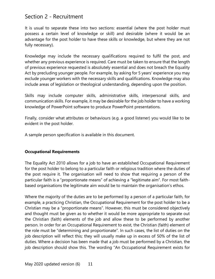It is usual to separate these into two sections: essential (where the post holder must possess a certain level of knowledge or skill) and desirable (where it would be an advantage for the post holder to have these skills or knowledge, but where they are not fully necessary).

Knowledge may include the necessary qualifications required to fulfil the post, and whether any previous experience is required. Care must be taken to ensure that the length of previous experience requested is absolutely essential and does not breach the Equality Act by precluding younger people. For example, by asking for 5 years' experience you may exclude younger workers with the necessary skills and qualifications. Knowledge may also include areas of legislation or theological understanding, depending upon the position.

Skills may include computer skills, administrative skills, interpersonal skills, and communication skills. For example, it may be desirable for the job holder to have a working knowledge of PowerPoint software to produce PowerPoint presentations.

Finally, consider what attributes or behaviours (e.g. a good listener) you would like to be evident in the post holder.

A sample person specification is available in this document.

## **Occupational Requirements**

The Equality Act 2010 allows for a job to have an established Occupational Requirement for the post holder to belong to a particular faith or religious tradition where the duties of the post require it. The organisation will need to show that requiring a person of the particular faith is a "proportionate means" of achieving a "legitimate aim". For most faithbased organisations the legitimate aim would be to maintain the organisation's ethos.

Where the majority of the duties are to be performed by a person of a particular faith, for example, a practicing Christian, the Occupational Requirement for the post holder to be a Christian may be a "proportionate means". However, this must be considered objectively and thought must be given as to whether it would be more appropriate to separate out the Christian (faith) elements of the job and allow these to be performed by another person. In order for an Occupational Requirement to exist, the Christian (faith) element of the role must be "determining and proportionate". In such cases, the list of duties on the job description will reflect this; they will usually make up in excess of 50% of the list of duties. Where a decision has been made that a job must be performed by a Christian, the job description should show this. The wording "An Occupational Requirement exists for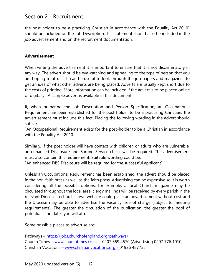the post-holder to be a practicing Christian in accordance with the Equality Act 2010" should be included on the Job Description.This statement should also be included in the job advertisement and on the recruitment documentation.

## **Advertisement**

When writing the advertisement it is important to ensure that it is not discriminatory in any way. The advert should be eye-catching and appealing to the type of person that you are hoping to attract. It can be useful to look through the job papers and magazines to get an idea of what other adverts are being placed. Adverts are usually kept short due to the costs of printing. More information can be included if the advert is to be placed online or digitally. A sample advert is available in this document.

If, when preparing the Job Description and Person Specification, an Occupational Requirement has been established for the post holder to be a practising Christian, the advertisement must include this fact. Placing the following wording in the advert should suffice:

"An Occupational Requirement exists for the post-holder to be a Christian in accordance with the Equality Act 2010.

Similarly, if the post holder will have contact with children or adults who are vulnerable, an enhanced Disclosure and Barring Service check will be required. The advertisement must also contain this requirement. Suitable wording could be:

"An enhanced DBS Disclosure will be required for the successful applicant".

Unless an Occupational Requirement has been established, the advert should be placed in the non-faith press as well as the faith press. Advertising can be expensive so it is worth considering all the possible options, for example, a local Church magazine may be circulated throughout the local area, clergy mailings will be received by every parish in the relevant Diocese, a church's own website could place an advertisement without cost and the Diocese may be able to advertise the vacancy free of charge (subject to meeting requirements). The greater the circulation of the publication, the greater the pool of potential candidates you will attract.

Some possible places to advertise are:

Pathways - <https://jobs.churchofengland.org/pathways/> Church Times – [www.churchtimes.co.uk](http://www.churchtimes.co.uk/) – 0207 359 4570 (Advertising 0207 776 1010) Christian Vocations – [www.christianvocations.org](http://www.christianvocations.org/) - 01926 487755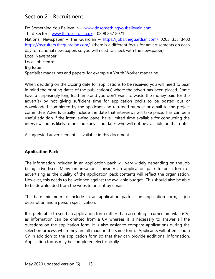Do Something You Believe In - [www.dosomethingyoubelievein.com](http://www.dosomethingyoubelievein.com/) Third Sector – [www.thirdsector.co.uk](http://www.thirdsector.co.uk/) – 0208 267 8021 National Newspaper – The Guardian – <https://jobs.theguardian.com/> 0203 353 3400 <https://recruiters.theguardian.com/>(there is a different focus for advertisements on each day for national newspapers so you will need to check with the newspaper) Local Newspaper Local job centre Big Issue Specialist magazines and papers, for example a Youth Worker magazine

When deciding on the closing date for applications to be received you will need to bear in mind the printing dates of the publication(s) where the advert has been placed. Some have a surprisingly long lead time and you don't want to waste the money paid for the advert(s) by not giving sufficient time for application packs to be posted out or downloaded, completed by the applicant and returned by post or email to the project committee. Adverts usually include the date that interviews will take place. This can be a useful addition if the interviewing panel have limited time available for conducting the interviews but is likely to preclude any candidates who will not be available on that date.

A suggested advertisement is available in this document.

# **Application Pack**

The information included in an application pack will vary widely depending on the job being advertised. Many organisations consider an application pack to be a form of advertising as the quality of the application pack contents will reflect the organisation. However, this needs to be weighed against the available budget. This should also be able to be downloaded from the website or sent by email.

The bare minimum to include in an application pack is an application form, a job description and a person specification.

It is preferable to send an application form rather than accepting a curriculum vitae (CV) as information can be omitted from a CV whereas it is necessary to answer all the questions on the application form. It is also easier to compare applications during the selection process when they are all made in the same form. Applicants will often send a CV in addition to the application form so that they can provide additional information. Application forms may be completed electronically.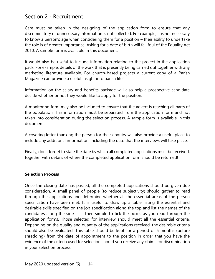Care must be taken in the designing of the application form to ensure that any discriminatory or unnecessary information is not collected. For example, it is not necessary to know a person's age when considering them for a position – their ability to undertake the role is of greater importance. Asking for a date of birth will fall foul of the Equality Act 2010. A sample form is available in this document.

It would also be useful to include information relating to the project in the application pack. For example, details of the work that is presently being carried out together with any marketing literature available. For church-based projects a current copy of a Parish Magazine can provide a useful insight into parish life!

Information on the salary and benefits package will also help a prospective candidate decide whether or not they would like to apply for the position.

A monitoring form may also be included to ensure that the advert is reaching all parts of the population. This information must be separated from the application form and not taken into consideration during the selection process. A sample form is available in this document.

A covering letter thanking the person for their enquiry will also provide a useful place to include any additional information, including the date that the interviews will take place.

Finally, don't forget to state the date by which all completed applications must be received, together with details of where the completed application form should be returned!

# **Selection Process**

Once the closing date has passed, all the completed applications should be given due consideration. A small panel of people (to reduce subjectivity) should gather to read through the applications and determine whether all the essential areas of the person specification have been met. It is useful to draw up a table listing the essential and desirable skills specified on the job specification along the top and list the names of the candidates along the side. It is then simple to tick the boxes as you read through the application forms. Those selected for interview should meet all the essential criteria. Depending on the quality and quantity of the applications received, the desirable criteria should also be evaluated. This table should be kept for a period of 6 months (before shredding) from the date of appointment to the position in order that you have the evidence of the criteria used for selection should you receive any claims for discrimination in your selection process.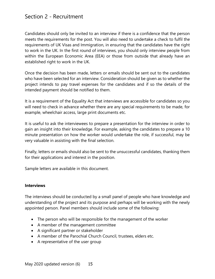Candidates should only be invited to an interview if there is a confidence that the person meets the requirements for the post. You will also need to undertake a check to fulfil the requirements of UK Visas and Immigration, in ensuring that the candidates have the right to work in the UK. In the first round of interviews, you should only interview people from within the European Economic Area (EEA) or those from outside that already have an established right to work in the UK.

Once the decision has been made, letters or emails should be sent out to the candidates who have been selected for an interview. Consideration should be given as to whether the project intends to pay travel expenses for the candidates and if so the details of the intended payment should be notified to them.

It is a requirement of the Equality Act that interviews are accessible for candidates so you will need to check in advance whether there are any special requirements to be made, for example, wheelchair access, large print documents etc.

It is useful to ask the interviewees to prepare a presentation for the interview in order to gain an insight into their knowledge. For example, asking the candidates to prepare a 10 minute presentation on how the worker would undertake the role, if successful, may be very valuable in assisting with the final selection.

Finally, letters or emails should also be sent to the unsuccessful candidates, thanking them for their applications and interest in the position.

Sample letters are available in this document.

#### **Interviews**

The interviews should be conducted by a small panel of people who have knowledge and understanding of the project and its purpose and perhaps will be working with the newly appointed person. Panel members should include some of the following:

- The person who will be responsible for the management of the worker
- A member of the management committee
- A significant partner or stakeholder
- A member of the Parochial Church Council, trustees, elders etc.
- A representative of the user group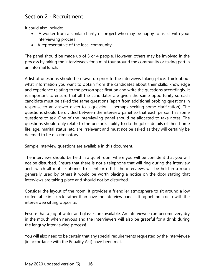It could also include:

- A worker from a similar charity or project who may be happy to assist with your interviewing process
- A representative of the local community.

The panel should be made up of 3 or 4 people. However, others may be involved in the process by taking the interviewees for a mini tour around the community or taking part in an informal lunch.

A list of questions should be drawn up prior to the interviews taking place. Think about what information you want to obtain from the candidates about their skills, knowledge and experience relating to the person specification and write the questions accordingly. It is important to ensure that all the candidates are given the same opportunity so each candidate must be asked the same questions (apart from additional probing questions in response to an answer given to a question – perhaps seeking some clarification). The questions should be divided between the interview panel so that each person has some questions to ask. One of the interviewing panel should be allocated to take notes. The questions should only relate to the person's ability to do the job – details of their home life, age, marital status, etc. are irrelevant and must not be asked as they will certainly be deemed to be discriminatory.

Sample interview questions are available in this document.

The interviews should be held in a quiet room where you will be confident that you will not be disturbed. Ensure that there is not a telephone that will ring during the interview and switch all mobile phones to silent or off! If the interviews will be held in a room generally used by others it would be worth placing a notice on the door stating that interviews are taking place and should not be disturbed.

Consider the layout of the room. It provides a friendlier atmosphere to sit around a low coffee table in a circle rather than have the interview panel sitting behind a desk with the interviewee sitting opposite.

Ensure that a jug of water and glasses are available. An interviewee can become very dry in the mouth when nervous and the interviewers will also be grateful for a drink during the lengthy interviewing process!

You will also need to be certain that any special requirements requested by the interviewee (in accordance with the Equality Act) have been met.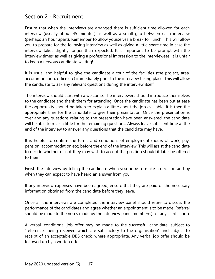Ensure that when the interviews are arranged there is sufficient time allowed for each interview (usually about 45 minutes) as well as a small gap between each interview (perhaps an hour apart). Remember to allow yourselves a break for lunch! This will allow you to prepare for the following interview as well as giving a little spare time in case the interview takes slightly longer than expected. It is important to be prompt with the interview times; as well as giving a professional impression to the interviewees, it is unfair to keep a nervous candidate waiting!

It is usual and helpful to give the candidate a tour of the facilities (the project, area, accommodation, office etc) immediately prior to the interview taking place. This will allow the candidate to ask any relevant questions during the interview itself.

The interview should start with a welcome. The interviewers should introduce themselves to the candidate and thank them for attending. Once the candidate has been put at ease the opportunity should be taken to explain a little about the job available. It is then the appropriate time for the candidate to give their presentation. Once the presentation is over and any questions relating to the presentation have been answered, the candidate will be able to relax a little for the remaining questions. Always leave sufficient time at the end of the interview to answer any questions that the candidate may have.

It is helpful to confirm the terms and conditions of employment (hours of work, pay, pension, accommodation etc) before the end of the interview. This will assist the candidate to decide whether or not they may wish to accept the position should it later be offered to them.

Finish the interview by telling the candidate when you hope to make a decision and by when they can expect to have heard an answer from you.

If any interview expenses have been agreed, ensure that they are paid or the necessary information obtained from the candidate before they leave.

Once all the interviews are completed the interview panel should retire to discuss the performance of the candidates and agree whether an appointment is to be made. Referral should be made to the notes made by the interview panel member(s) for any clarification.

A verbal, conditional job offer may be made to the successful candidate, subject to "references being received which are satisfactory to the organisation" and subject to receipt of an acceptable DBS check, where appropriate. Any verbal job offer should be followed up by a written offer.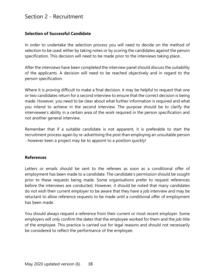## **Selection of Successful Candidate**

In order to undertake the selection process you will need to decide on the method of selection to be used: either by taking notes or by scoring the candidates against the person specification. This decision will need to be made prior to the interviews taking place.

After the interviews have been completed the interview panel should discuss the suitability of the applicants. A decision will need to be reached objectively and in regard to the person specification.

Where it is proving difficult to make a final decision, it may be helpful to request that one or two candidates return for a second interview to ensure that the correct decision is being made. However, you need to be clear about what further information is required and what you intend to achieve in the second interview. The purpose should be to clarify the interviewee's ability in a certain area of the work required in the person specification and not another general interview.

Remember that if a suitable candidate is not apparent, it is preferable to start the recruitment process again by re-advertising the post than employing an unsuitable person - however keen a project may be to appoint to a position quickly!

#### **References**

Letters or emails should be sent to the referees as soon as a conditional offer of employment has been made to a candidate. The candidate's permission should be sought prior to these requests being made. Some organisations prefer to request references before the interviews are conducted. However, it should be noted that many candidates do not wish their current employer to be aware that they have a job interview and may be reluctant to allow reference requests to be made until a conditional offer of employment has been made.

You should always request a reference from their current or most recent employer. Some employers will only confirm the dates that the employee worked for them and the job title of the employee. This practice is carried out for legal reasons and should not necessarily be considered to reflect the performance of the employee.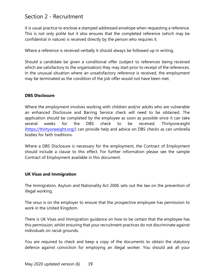It is usual practice to enclose a stamped addressed envelope when requesting a reference. This is not only polite but it also ensures that the completed reference (which may be confidential in nature) is received directly by the person who requires it.

Where a reference is received verbally it should always be followed up in writing.

Should a candidate be given a conditional offer (subject to references being received which are satisfactory to the organisation) they may start prior to receipt of the references. In the unusual situation where an unsatisfactory reference is received, the employment may be terminated as the condition of the job offer would not have been met.

## **DBS Disclosure**

Where the employment involves working with children and/or adults who are vulnerable an enhanced Disclosure and Barring Service check will need to be obtained. The application should be completed by the employee as soon as possible since it can take several weeks for the DBS check to be received. Thirtyone:eight [\(https://thirtyoneeight.org/\)](https://thirtyoneeight.org/) can provide help and advice on DBS checks as can umbrella bodies for faith traditions.

Where a DBS Disclosure is necessary for the employment, the Contract of Employment should include a clause to this effect. For further information please see the sample Contract of Employment available in this document.

## **UK Visas and Immigration**

The Immigration, Asylum and Nationality Act 2006 sets out the law on the prevention of illegal working.

The onus is on the employer to ensure that the prospective employee has permission to work in the United Kingdom.

There is UK Visas and Immigration guidance on how to be certain that the employee has this permission, whilst ensuring that your recruitment practices do not discriminate against individuals on racial grounds.

You are required to check and keep a copy of the documents to obtain the statutory defence against conviction for employing an illegal worker. You should ask all your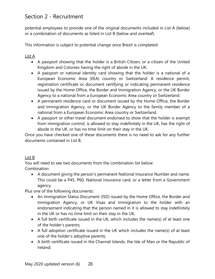potential employees to provide one of the original documents included in List A (below) or a combination of documents as listed in List B (below and overleaf).

This information is subject to potential change once Brexit is completed.

# List A

- A passport showing that the holder is a British Citizen, or a citizen of the United Kingdom and Colonies having the right of abode in the UK.
- A passport or national identity card showing that the holder is a national of a European Economic Area (EEA) country or Switzerland. A residence permit, registration certificate or document certifying or indicating permanent residence issued by the Home Office, the Border and Immigration Agency, or the UK Border Agency to a national from a European Economic Area country or Switzerland.
- A permanent residence card or document issued by the Home Office, the Border and Immigration Agency, or the UK Border Agency to the family member of a national from a European Economic Area country or Switzerland.
- A passport or other travel document endorsed to show that the holder is exempt from immigration control, is allowed to stay indefinitely in the UK, has the right of abode in the UK, or has no time limit on their stay in the UK.

Once you have checked one of these documents there is no need to ask for any further documents contained in List B.

# List B

You will need to see two documents from the combination list below:

Combination

• A document giving the person's permanent National Insurance Number and name. This could be a P45, P60, National Insurance card, or a letter from a Government agency.

Plus one of the following documents:

- An Immigration Status Document (ISD) issued by the Home Office, the Border and Immigration Agency, or UK Visas and Immigration to the holder with an endorsement indicating that the person named in it is allowed to stay indefinitely in the UK or has no time limit on their stay in the UK;
- A full birth certificate issued in the UK, which includes the name(s) of at least one of the holder's parents;
- A full adoption certificate issued in the UK which includes the name(s) of at least one of the holder's adoptive parents;
- A birth certificate issued in the Channel Islands, the Isle of Man or the Republic of Ireland;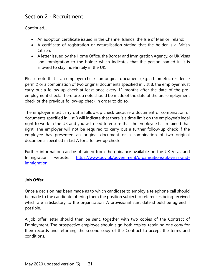Continued…

- An adoption certificate issued in the Channel Islands, the Isle of Man or Ireland;
- A certificate of registration or naturalisation stating that the holder is a British Citizen;
- A letter issued by the Home Office, the Border and Immigration Agency, or UK Visas and Immigration to the holder which indicates that the person named in it is allowed to stay indefinitely in the UK.

Please note that if an employer checks an original document (e.g. a biometric residence permit) or a combination of two original documents specified in List B, the employer must carry out a follow-up check at least once every 12 months after the date of the preemployment check. Therefore, a note should be made of the date of the pre-employment check or the previous follow-up check in order to do so.

The employer must carry out a follow-up check because a document or combination of documents specified in List B will indicate that there is a time limit on the employee's legal right to work in the UK and you will need to ensure that the employee has retained that right. The employer will not be required to carry out a further follow-up check if the employee has presented an original document or a combination of two original documents specified in List A for a follow-up check.

Further information can be obtained from the guidance available on the UK Visas and Immigration website: [https://www.gov.uk/government/organisations/uk-visas-and](https://www.gov.uk/government/organisations/uk-visas-and-immigration)[immigration](https://www.gov.uk/government/organisations/uk-visas-and-immigration)

# **Job Offer**

Once a decision has been made as to which candidate to employ a telephone call should be made to the candidate offering them the position subject to references being received which are satisfactory to the organisation. A provisional start date should be agreed if possible.

A job offer letter should then be sent, together with two copies of the Contract of Employment. The prospective employee should sign both copies, retaining one copy for their records and returning the second copy of the Contract to accept the terms and conditions.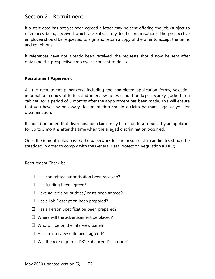If a start date has not yet been agreed a letter may be sent offering the job (subject to references being received which are satisfactory to the organisation). The prospective employee should be requested to sign and return a copy of the offer to accept the terms and conditions.

If references have not already been received, the requests should now be sent after obtaining the prospective employee's consent to do so.

#### **Recruitment Paperwork**

All the recruitment paperwork, including the completed application forms, selection information, copies of letters and interview notes should be kept securely (locked in a cabinet) for a period of 6 months after the appointment has been made. This will ensure that you have any necessary documentation should a claim be made against you for discrimination.

It should be noted that discrimination claims may be made to a tribunal by an applicant for up to 3 months after the time when the alleged discrimination occurred.

Once the 6 months has passed the paperwork for the unsuccessful candidates should be shredded in order to comply with the General Data Protection Regulation (GDPR).

#### Recruitment Checklist

- $\square$  Has committee authorisation been received?
- $\Box$  Has funding been agreed?
- $\Box$  Have advertising budget / costs been agreed?
- $\square$  Has a Job Description been prepared?
- $\Box$  Has a Person Specification been prepared?
- $\square$  Where will the advertisement be placed?
- $\square$  Who will be on the interview panel?
- $\square$  Has an interview date been agreed?
- $\square$  Will the role require a DBS Enhanced Disclosure?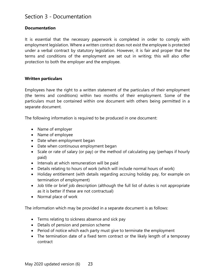# Section 3 - Documentation

## **Documentation**

It is essential that the necessary paperwork is completed in order to comply with employment legislation. Where a written contract does not exist the employee is protected under a verbal contract by statutory legislation. However, it is fair and proper that the terms and conditions of the employment are set out in writing; this will also offer protection to both the employer and the employee.

#### **Written particulars**

Employees have the right to a written statement of the particulars of their employment (the terms and conditions) within two months of their employment. Some of the particulars must be contained within one document with others being permitted in a separate document.

The following information is required to be produced in one document:

- Name of employer
- Name of employee
- Date when employment began
- Date when continuous employment began
- Scale or rate of salary (or pay) or the method of calculating pay (perhaps if hourly paid)
- Intervals at which remuneration will be paid
- Details relating to hours of work (which will include normal hours of work)
- Holiday entitlement (with details regarding accruing holiday pay, for example on termination of employment)
- Job title or brief job description (although the full list of duties is not appropriate as it is better if these are not contractual)
- Normal place of work

The information which may be provided in a separate document is as follows:

- Terms relating to sickness absence and sick pay
- Details of pension and pension scheme
- Period of notice which each party must give to terminate the employment
- The termination date of a fixed term contract or the likely length of a temporary contract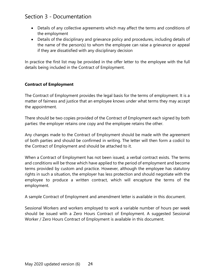# Section 3 - Documentation

- Details of any collective agreements which may affect the terms and conditions of the employment
- Details of the disciplinary and grievance policy and procedures, including details of the name of the person(s) to whom the employee can raise a grievance or appeal if they are dissatisfied with any disciplinary decision

In practice the first list may be provided in the offer letter to the employee with the full details being included in the Contract of Employment.

# **Contract of Employment**

The Contract of Employment provides the legal basis for the terms of employment. It is a matter of fairness and justice that an employee knows under what terms they may accept the appointment.

There should be two copies provided of the Contract of Employment each signed by both parties: the employer retains one copy and the employee retains the other.

Any changes made to the Contract of Employment should be made with the agreement of both parties and should be confirmed in writing. The letter will then form a codicil to the Contract of Employment and should be attached to it.

When a Contract of Employment has not been issued, a verbal contract exists. The terms and conditions will be those which have applied to the period of employment and become terms provided by custom and practice. However, although the employee has statutory rights in such a situation, the employer has less protection and should negotiate with the employee to produce a written contract, which will encapture the terms of the employment.

A sample Contract of Employment and amendment letter is available in this document.

Sessional Workers and workers employed to work a variable number of hours per week should be issued with a Zero Hours Contract of Employment. A suggested Sessional Worker / Zero Hours Contract of Employment is available in this document.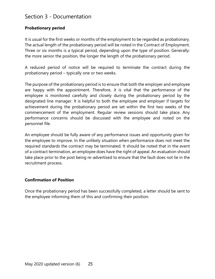# Section 3 - Documentation

# **Probationary period**

It is usual for the first weeks or months of the employment to be regarded as probationary. The actual length of the probationary period will be noted in the Contract of Employment. Three or six months is a typical period, depending upon the type of position. Generally: the more senior the position, the longer the length of the probationary period.

A reduced period of notice will be required to terminate the contract during the probationary period – typically one or two weeks.

The purpose of the probationary period is to ensure that both the employer and employee are happy with the appointment. Therefore, it is vital that the performance of the employee is monitored carefully and closely during the probationary period by the designated line manager. It is helpful to both the employee and employer if targets for achievement during the probationary period are set within the first two weeks of the commencement of the employment. Regular review sessions should take place. Any performance concerns should be discussed with the employee and noted on the personnel file.

An employee should be fully aware of any performance issues and opportunity given for the employee to improve. In the unlikely situation when performance does not meet the required standards the contract may be terminated. It should be noted that in the event of a contract termination, an employee does have the right of appeal. An evaluation should take place prior to the post being re-advertised to ensure that the fault does not lie in the recruitment process.

# **Confirmation of Position**

Once the probationary period has been successfully completed, a letter should be sent to the employee informing them of this and confirming their position.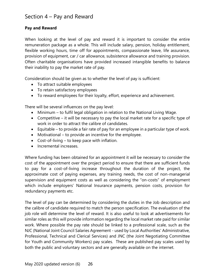## **Pay and Reward**

When looking at the level of pay and reward it is important to consider the entire remuneration package as a whole. This will include salary, pension, holiday entitlement, flexible working hours, time off for appointments, compassionate leave, life assurance, provision of equipment, car / car allowance, subsistence allowance and training provision. Often charitable organisations have provided increased intangible benefits to balance their inability to pay the market rate of pay.

Consideration should be given as to whether the level of pay is sufficient:

- To attract suitable employees
- To retain satisfactory employees
- To reward employees for their loyalty, effort, experience and achievement.

There will be several influences on the pay level:

- Minimum to fulfil legal obligation in relation to the National Living Wage.
- Competitive it will be necessary to pay the local market rate for a specific type of work in order to attract the calibre of candidates.
- Equitable to provide a fair rate of pay for an employee in a particular type of work.
- Motivational to provide an incentive for the employee.
- Cost-of-living to keep pace with inflation.
- Incremental increases.

Where funding has been obtained for an appointment it will be necessary to consider the cost of the appointment over the project period to ensure that there are sufficient funds to pay for a cost-of-living increase throughout the duration of the project, the approximate cost of paying expenses, any training needs, the cost of non-managerial supervision and equipment costs as well as considering the "on-costs" of employment which include employers' National Insurance payments, pension costs, provision for redundancy payments etc.

The level of pay can be determined by considering the duties in the Job description and the calibre of candidate required to match the person specification. The evaluation of the job role will determine the level of reward. It is also useful to look at advertisements for similar roles as this will provide information regarding the local market rate paid for similar work. Where possible the pay rate should be linked to a professional scale, such as the NJC (National Joint Council Salaries Agreement - used by Local Authorities' Administrative, Professional, Technical and Clerical Services) and JNC (the Joint Negotiating Committee for Youth and Community Workers) pay scales. These are published pay scales used by both the public and voluntary sectors and are generally available on the internet.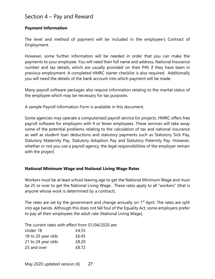## **Payment Information**

The level and method of payment will be included in the employee's Contract of Employment.

However, some further information will be needed in order that you can make the payments to your employee. You will need their full name and address, National Insurance number and tax details, which are usually provided on their P45 if they have been in previous employment. A completed HMRC starter checklist is also required. Additionally you will need the details of the bank account into which payment will be made.

Many payroll software packages also require information relating to the marital status of the employee which may be necessary for tax purposes.

A sample Payroll Information Form is available in this document.

Some agencies may operate a computerised payroll service for projects. HMRC offers free payroll software for employers with 9 or fewer employees. These services will take away some of the potential problems relating to the calculation of tax and national insurance as well as student loan deductions and statutory payments such as Statutory Sick Pay, Statutory Maternity Pay, Statutory Adoption Pay and Statutory Paternity Pay. However, whether or not you use a payroll agency, the legal responsibilities of the employer remain with the project.

## **National Minimum Wage and National Living Wage Rates**

Workers must be at least school leaving age to get the National Minimum Wage and must be 25 or over to get the National Living Wage. These rates apply to all "workers" (that is anyone whose work is determined by a contract).

The rates are set by the government and change annually on  $1<sup>st</sup>$  April. The rates are split into age bands. Although this does not fall foul of the Equality Act, some employers prefer to pay all their employees the adult rate (National Living Wage).

The current rates with effect from 01/04/2020 are:

| Under 18           | £4.55 |
|--------------------|-------|
| 18 to 20 year olds | £6.45 |
| 21 to 24 year olds | £8.20 |
| 25 and over        | £8.72 |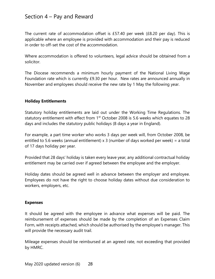The current rate of accommodation offset is £57.40 per week (£8.20 per day). This is applicable where an employee is provided with accommodation and their pay is reduced in order to off-set the cost of the accommodation.

Where accommodation is offered to volunteers, legal advice should be obtained from a solicitor.

The Diocese recommends a minimum hourly payment of the National Living Wage Foundation rate which is currently £9.30 per hour. New rates are announced annually in November and employees should receive the new rate by 1 May the following year.

#### **Holiday Entitlements**

Statutory holiday entitlements are laid out under the Working Time Regulations. The statutory entitlement with effect from  $1<sup>st</sup>$  October 2008 is 5.6 weeks which equates to 28 days and includes the statutory public holidays (8 days a year in England).

For example, a part time worker who works 3 days per week will, from October 2008, be entitled to 5.6 weeks (annual entitlement) x 3 (number of days worked per week) = a total of 17 days holiday per year.

Provided that 28 days' holiday is taken every leave year, any additional contractual holiday entitlement may be carried over if agreed between the employee and the employer.

Holiday dates should be agreed well in advance between the employer and employee. Employees do not have the right to choose holiday dates without due consideration to workers, employers, etc.

#### **Expenses**

It should be agreed with the employee in advance what expenses will be paid. The reimbursement of expenses should be made by the completion of an Expenses Claim Form, with receipts attached, which should be authorised by the employee's manager. This will provide the necessary audit trail.

Mileage expenses should be reimbursed at an agreed rate, not exceeding that provided by HMRC.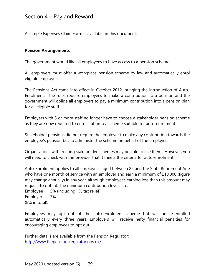A sample Expenses Claim Form is available in this document.

#### **Pension Arrangements**

The government would like all employees to have access to a pension scheme.

All employers must offer a workplace pension scheme by law and automatically enrol eligible employees.

The Pensions Act came into effect in October 2012, bringing the introduction of Auto-Enrolment. The rules require employees to make a contribution to a pension and the government will oblige all employers to pay a minimum contribution into a pension plan for all eligible staff.

Employers with 5 or more staff no longer have to choose a stakeholder pension scheme as they are now required to enrol staff into a scheme suitable for auto-enrolment.

Stakeholder pensions did not require the employer to make any contribution towards the employee's pension but to administer the scheme on behalf of the employee.

Organisations with existing stakeholder schemes may be able to use them. However, you will need to check with the provider that it meets the criteria for auto-enrolment.

Auto-Enrolment applies to all employees aged between 22 and the State Retirement Age who have one month of service with an employer and earn a minimum of £10,000 (figure may change annually) in any year, although employees earning less than this amount may request to opt in). The minimum contribution levels are:

Employee 5% (including 1% tax relief) Employer 3%. (8% in total).

Employees may opt out of the auto-enrolment scheme but will be re-enrolled automatically every three years. Employers will receive hefty financial penalties for encouraging employees to opt out.

Further details are available from the Pension Regulator: <http://www.thepensionsregulator.gov.uk/>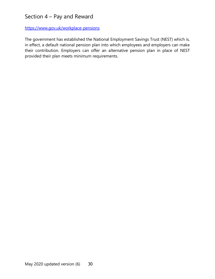<https://www.gov.uk/workplace-pensions>

The government has established the National Employment Savings Trust (NEST) which is, in effect, a default national pension plan into which employees and employers can make their contribution. Employers can offer an alternative pension plan in place of NEST provided their plan meets minimum requirements.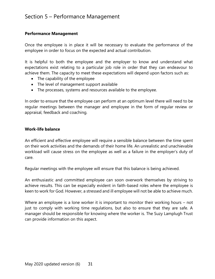## **Performance Management**

Once the employee is in place it will be necessary to evaluate the performance of the employee in order to focus on the expected and actual contribution.

It is helpful to both the employee and the employer to know and understand what expectations exist relating to a particular job role in order that they can endeavour to achieve them. The capacity to meet these expectations will depend upon factors such as:

- The capability of the employee
- The level of management support available
- The processes, systems and resources available to the employee.

In order to ensure that the employee can perform at an optimum level there will need to be regular meetings between the manager and employee in the form of regular review or appraisal, feedback and coaching.

#### **Work-life balance**

An efficient and effective employee will require a sensible balance between the time spent on their work activities and the demands of their home life. An unrealistic and unachievable workload will cause stress on the employee as well as a failure in the employer's duty of care.

Regular meetings with the employee will ensure that this balance is being achieved.

An enthusiastic and committed employee can soon overwork themselves by striving to achieve results. This can be especially evident in faith-based roles where the employee is keen to work for God. However, a stressed and ill employee will not be able to achieve much.

Where an employee is a lone worker it is important to monitor their working hours – not just to comply with working time regulations, but also to ensure that they are safe. A manager should be responsible for knowing where the worker is. The Suzy Lamplugh Trust can provide information on this aspect.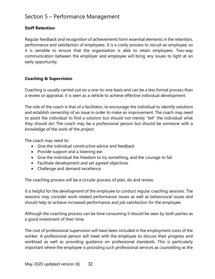## **Staff Retention**

Regular feedback and recognition of achievements form essential elements in the retention, performance and satisfaction of employees. It is a costly process to recruit an employee, so it is sensible to ensure that the organisation is able to retain employees. Two-way communication between the employer and employee will bring any issues to light at an early opportunity.

## **Coaching & Supervision**

Coaching is usually carried out on a one-to-one basis and can be a less formal process than a review or appraisal. It is seen as a vehicle to achieve effective individual development.

The role of the coach is that of a facilitator, to encourage the individual to identify solutions and establish ownership of an issue in order to make an improvement. The coach may need to assist the individual to find a solution but should not merely "tell" the individual what they should do! The coach may be a professional person but should be someone with a knowledge of the work of the project.

The coach may need to:

- Give the individual constructive advice and feedback
- Provide support and a listening ear
- Give the individual the freedom to try something, and the courage to fail
- Facilitate development and set agreed objectives
- Challenge and demand excellence.

The coaching process will be a circular process of plan, do and review.

It is helpful for the development of the employee to conduct regular coaching sessions. The sessions may consider work-related performance issues as well as behavioural issues and should help to achieve increased performance and job satisfaction for the employee.

Although the coaching process can be time consuming it should be seen by both parties as a good investment of their time.

The cost of professional supervision will have been included in the employment costs of the worker. A professional person will meet with the employee to discuss their progress and workload as well as providing guidance on professional standards. This is particularly important where the employee is providing such professional services as counselling as the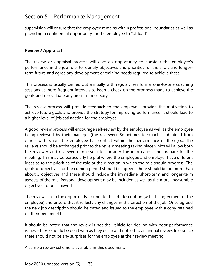supervision will ensure that the employee remains within professional boundaries as well as providing a confidential opportunity for the employee to "offload".

## **Review / Appraisal**

The review or appraisal process will give an opportunity to consider the employee's performance in the job role, to identify objectives and priorities for the short and longerterm future and agree any development or training needs required to achieve these.

This process is usually carried out annually with regular, less formal one-to-one coaching sessions at more frequent intervals to keep a check on the progress made to achieve the goals and re-evaluate any areas as necessary.

The review process will provide feedback to the employee, provide the motivation to achieve future goals and provide the strategy for improving performance. It should lead to a higher level of job satisfaction for the employee.

A good review process will encourage self-review by the employee as well as the employee being reviewed by their manager (the reviewer). Sometimes feedback is obtained from others with whom the employee has contact within the performance of their job. The reviews should be exchanged prior to the review meeting taking place which will allow both the reviewer and reviewee (employee) to consider the information and prepare for the meeting. This may be particularly helpful where the employee and employer have different ideas as to the priorities of the role or the direction in which the role should progress. The goals or objectives for the coming period should be agreed. There should be no more than about 5 objectives and these should include the immediate, short-term and longer-term aspects of the role. Personal development may be included as well as the more-measurable objectives to be achieved.

The review is also the opportunity to update the job description (with the agreement of the employee) and ensure that it reflects any changes in the direction of the job. Once agreed the new job description should be dated and issued to the employee with a copy retained on their personnel file.

It should be noted that the review is not the vehicle for dealing with poor performance issues – these should be dealt with as they occur and not left to an annual review. In essence there should not be any surprises for the employee at their review meeting.

A sample review scheme is available in this document.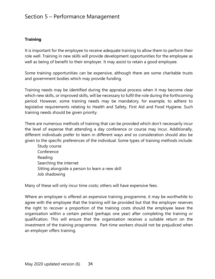## **Training**

It is important for the employee to receive adequate training to allow them to perform their role well. Training in new skills will provide development opportunities for the employee as well as being of benefit to their employer. It may assist to retain a good employee.

Some training opportunities can be expensive, although there are some charitable trusts and government bodies which may provide funding.

Training needs may be identified during the appraisal process when it may become clear which new skills, or improved skills, will be necessary to fulfil the role during the forthcoming period. However, some training needs may be mandatory, for example, to adhere to legislative requirements relating to Health and Safety, First Aid and Food Hygiene. Such training needs should be given priority.

There are numerous methods of training that can be provided which don't necessarily incur the level of expense that attending a day conference or course may incur. Additionally, different individuals prefer to learn in different ways and so consideration should also be given to the specific preferences of the individual. Some types of training methods include:

Study course Conference Reading Searching the internet Sitting alongside a person to learn a new skill Job shadowing

Many of these will only incur time costs; others will have expensive fees.

Where an employee is offered an expensive training programme, it may be worthwhile to agree with the employee that the training will be provided but that the employer reserves the right to recover a proportion of the training costs should the employee leave the organisation within a certain period (perhaps one year) after completing the training or qualification. This will ensure that the organisation receives a suitable return on the investment of the training programme. Part-time workers should not be prejudiced when an employer offers training.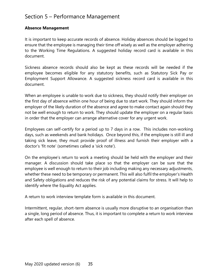## **Absence Management**

It is important to keep accurate records of absence. Holiday absences should be logged to ensure that the employee is managing their time off wisely as well as the employer adhering to the Working Time Regulations. A suggested holiday record card is available in this document.

Sickness absence records should also be kept as these records will be needed if the employee becomes eligible for any statutory benefits, such as Statutory Sick Pay or Employment Support Allowance. A suggested sickness record card is available in this document.

When an employee is unable to work due to sickness, they should notify their employer on the first day of absence within one hour of being due to start work. They should inform the employer of the likely duration of the absence and agree to make contact again should they not be well enough to return to work. They should update the employer on a regular basis in order that the employer can arrange alternative cover for any urgent work.

Employees can self-certify for a period up to 7 days in a row. This includes non-working days, such as weekends and bank holidays. Once beyond this, if the employee is still ill and taking sick leave, they must provide proof of illness and furnish their employer with a doctor's 'fit note' (sometimes called a 'sick note').

On the employee's return to work a meeting should be held with the employer and their manager. A discussion should take place so that the employer can be sure that the employee is well enough to return to their job including making any necessary adjustments, whether these need to be temporary or permanent. This will also fulfil the employer's Health and Safety obligations and reduces the risk of any potential claims for stress. It will help to identify where the Equality Act applies.

A return to work interview template form is available in this document.

Intermittent, regular, short-term absence is usually more disruptive to an organisation than a single, long period of absence. Thus, it is important to complete a return to work interview after each spell of absence.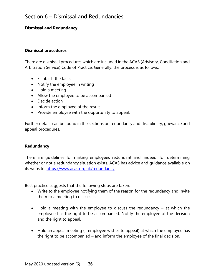## **Dismissal and Redundancy**

#### **Dismissal procedures**

There are dismissal procedures which are included in the ACAS (Advisory, Conciliation and Arbitration Service) Code of Practice. Generally, the process is as follows:

- Establish the facts
- Notify the employee in writing
- Hold a meeting
- Allow the employee to be accompanied
- Decide action
- Inform the employee of the result
- Provide employee with the opportunity to appeal.

Further details can be found in the sections on redundancy and disciplinary, grievance and appeal procedures.

#### **Redundancy**

There are guidelines for making employees redundant and, indeed, for determining whether or not a redundancy situation exists. ACAS has advice and guidance available on its website: <https://www.acas.org.uk/redundancy>

Best practice suggests that the following steps are taken:

- Write to the employee notifying them of the reason for the redundancy and invite them to a meeting to discuss it.
- Hold a meeting with the employee to discuss the redundancy at which the employee has the right to be accompanied. Notify the employee of the decision and the right to appeal.
- Hold an appeal meeting (if employee wishes to appeal) at which the employee has the right to be accompanied – and inform the employee of the final decision.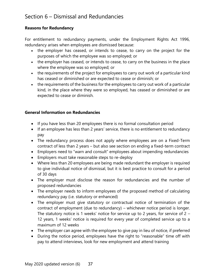## **Reasons for Redundancy**

For entitlement to redundancy payments, under the Employment Rights Act 1996, redundancy arises when employees are dismissed because:

- the employer has ceased, or intends to cease, to carry on the project for the purposes of which the employee was so employed; or
- the employer has ceased, or intends to cease, to carry on the business in the place where the employee was so employed; or
- the requirements of the project for employees to carry out work of a particular kind has ceased or diminished or are expected to cease or diminish; or
- the requirements of the business for the employees to carry out work of a particular kind, in the place where they were so employed, has ceased or diminished or are expected to cease or diminish.

## **General Information on Redundancies**

- If you have less than 20 employees there is no formal consultation period
- If an employee has less than 2 years' service, there is no entitlement to redundancy pay
- The redundancy process does not apply where employees are on a Fixed-Term contract of less than 2 years – but also see section on ending a fixed-term contract
- Employers need to "warn and consult" employees about impending redundancies
- Employers must take reasonable steps to re-deploy
- Where less than 20 employees are being made redundant the employer is required to give individual notice of dismissal, but it is best practice to consult for a period of 30 days
- The employer must disclose the reason for redundancies and the number of proposed redundancies
- The employer needs to inform employees of the proposed method of calculating redundancy pay (i.e. statutory or enhanced)
- The employer must give statutory or contractual notice of termination of the contract of employment (due to redundancy) – whichever notice period is longer. The statutory notice is 1 weeks' notice for service up to 2 years, for service of  $2 -$ 12 years, 1 weeks' notice is required for every year of completed service up to a maximum of 12 weeks
- The employer can agree with the employee to give pay in lieu of notice, if preferred
- During the notice period, employees have the right to "reasonable" time off with pay to attend interviews, look for new employment and attend training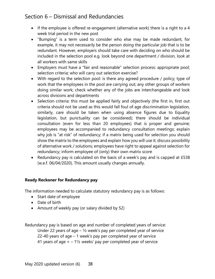- If the employee is offered re-engagement (alternative work) there is a right to a 4 week trial period in the new post
- "Bumping" is a term used to consider who else may be made redundant, for example, it may not necessarily be the person doing the particular job that is to be redundant. However, employers should take care with deciding on who should be included in the selection pool e.g. look beyond one department / division, look at all workers with same skills
- Employers must have a "fair and reasonable" selection process: appropriate pool; selection criteria; who will carry out selection exercise?
- With regard to the selection pool: is there any agreed procedure / policy; type of work that the employees in the pool are carrying out; any other groups of workers doing similar work; check whether any of the jobs are interchangeable and look across divisions and departments
- Selection criteria: this must be applied fairly and objectively (the first in, first out criteria should not be used as this would fall foul of age discrimination legislation, similarly, care should be taken when using absence figures due to Equality legislation, but punctuality can be considered); there should be individual consultation (even for less than 20 employees) that is proper and genuine; employees may be accompanied to redundancy consultation meetings; explain why job is "at risk" of redundancy; if a matrix being used for selection you should show the matrix to the employees and explain how you will use it; discuss possibility of alternative work / solutions; employees have right to appeal against selection for redundancy; inform employee of (only) their own matrix score
- Redundancy pay is calculated on the basis of a week's pay and is capped at £538 (w.e.f. 06/04/2020). This amount usually changes annually.

# **Ready Reckoner for Redundancy pay**

The information needed to calculate statutory redundancy pay is as follows:

- Start date of employee
- Date of birth
- Amount of weekly pay (or salary divided by 52)

Redundancy pay is based on age and number of completed years of service: Under 22 years of age  $-$  1/<sub>2</sub> week's pay per completed year of service 22-40 years of age – 1 week's pay per completed year of service 41 years of age  $+ - 1\frac{1}{2}$  weeks' pay per completed year of service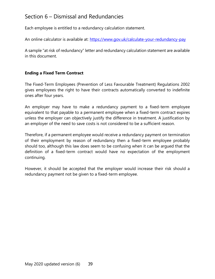Each employee is entitled to a redundancy calculation statement.

An online calculator is available at:<https://www.gov.uk/calculate-your-redundancy-pay>

A sample "at risk of redundancy" letter and redundancy calculation statement are available in this document.

# **Ending a Fixed Term Contract**

The Fixed-Term Employees (Prevention of Less Favourable Treatment) Regulations 2002 gives employees the right to have their contracts automatically converted to indefinite ones after four years.

An employer may have to make a redundancy payment to a fixed-term employee equivalent to that payable to a permanent employee when a fixed-term contract expires unless the employer can objectively justify the difference in treatment. A justification by an employer of the need to save costs is not considered to be a sufficient reason.

Therefore, if a permanent employee would receive a redundancy payment on termination of their employment by reason of redundancy then a fixed-term employee probably should too, although this law does seem to be confusing when it can be argued that the definition of a fixed-term contract would have no expectation of the employment continuing.

However, it should be accepted that the employer would increase their risk should a redundancy payment not be given to a fixed-term employee.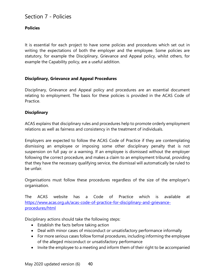## **Policies**

It is essential for each project to have some policies and procedures which set out in writing the expectations of both the employer and the employee. Some policies are statutory, for example the Disciplinary, Grievance and Appeal policy, whilst others, for example the Capability policy, are a useful addition.

## **Disciplinary, Grievance and Appeal Procedures**

Disciplinary, Grievance and Appeal policy and procedures are an essential document relating to employment. The basis for these policies is provided in the ACAS Code of Practice.

## **Disciplinary**

ACAS explains that disciplinary rules and procedures help to promote orderly employment relations as well as fairness and consistency in the treatment of individuals.

Employers are expected to follow the ACAS Code of Practice if they are contemplating dismissing an employee or imposing some other disciplinary penalty that is not suspension on full pay or a warning. If an employee is dismissed without the employer following the correct procedure, and makes a claim to an employment tribunal, providing that they have the necessary qualifying service, the dismissal will automatically be ruled to be unfair.

Organisations must follow these procedures regardless of the size of the employer's organisation.

The ACAS website has a Code of Practice which is available at [https://www.acas.org.uk/acas-code-of-practice-for-disciplinary-and-grievance](https://www.acas.org.uk/acas-code-of-practice-for-disciplinary-and-grievance-procedures/html)[procedures/html](https://www.acas.org.uk/acas-code-of-practice-for-disciplinary-and-grievance-procedures/html)

Disciplinary actions should take the following steps:

- Establish the facts before taking action
- Deal with minor cases of misconduct or unsatisfactory performance informally
- For more serious cases follow formal procedures, including informing the employee of the alleged misconduct or unsatisfactory performance
- Invite the employee to a meeting and inform them of their right to be accompanied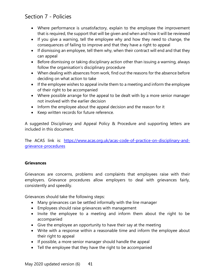- Where performance is unsatisfactory, explain to the employee the improvement that is required, the support that will be given and when and how it will be reviewed
- If you give a warning, tell the employee why and how they need to change, the consequences of failing to improve and that they have a right to appeal
- If dismissing an employee, tell them why, when their contract will end and that they can appeal
- Before dismissing or taking disciplinary action other than issuing a warning, always follow the organisation's disciplinary procedure
- When dealing with absences from work, find out the reasons for the absence before deciding on what action to take
- If the employee wishes to appeal invite them to a meeting and inform the employee of their right to be accompanied
- Where possible arrange for the appeal to be dealt with by a more senior manager not involved with the earlier decision
- Inform the employee about the appeal decision and the reason for it
- Keep written records for future reference.

A suggested Disciplinary and Appeal Policy & Procedure and supporting letters are included in this document.

The ACAS link is: [https://www.acas.org.uk/acas-code-of-practice-on-disciplinary-and](https://www.acas.org.uk/acas-code-of-practice-on-disciplinary-and-grievance-procedures)[grievance-procedures](https://www.acas.org.uk/acas-code-of-practice-on-disciplinary-and-grievance-procedures)

# **Grievances**

Grievances are concerns, problems and complaints that employees raise with their employers. Grievance procedures allow employers to deal with grievances fairly, consistently and speedily.

Grievances should take the following steps:

- Many grievances can be settled informally with the line manager
- Employees should raise grievances with management
- Invite the employee to a meeting and inform them about the right to be accompanied
- Give the employee an opportunity to have their say at the meeting
- Write with a response within a reasonable time and inform the employee about their right to appeal
- If possible, a more senior manager should handle the appeal
- Tell the employee that they have the right to be accompanied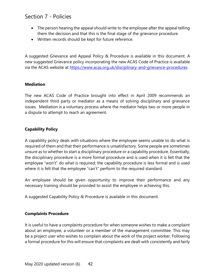- The person hearing the appeal should write to the employee after the appeal telling them the decision and that this is the final stage of the grievance procedure
- Written records should be kept for future reference.

A suggested Grievance and Appeal Policy & Procedure is available in this document. A new suggested Grievance policy incorporating the new ACAS Code of Practice is available via the ACAS website at<https://www.acas.org.uk/disciplinary-and-grievance-procedures>

## **Mediation**

The new ACAS Code of Practice brought into effect in April 2009 recommends an independent third party or mediator as a means of solving disciplinary and grievance issues. Mediation is a voluntary process where the mediator helps two or more people in a dispute to attempt to reach an agreement.

# **Capability Policy**

A capability policy deals with situations where the employee seems unable to do what is required of them and that their performance is unsatisfactory. Some people are sometimes unsure as to whether to start a disciplinary procedure or a capability procedure. Essentially, the disciplinary procedure is a more formal procedure and is used when it is felt that the employee "won't" do what is required; the capability procedure is less formal and is used where it is felt that the employee "can't" perform to the required standard.

An employee should be given opportunity to improve their performance and any necessary training should be provided to assist the employee in achieving this.

A suggested Capability Policy & Procedure is available in this document.

## **Complaints Procedure**

It is useful to have a complaints procedure for when someone wishes to make a complaint about an employee, a volunteer or a member of the management committee. This may be a project user who wishes to complain about the work of the project worker. Following a formal procedure for this will ensure that complaints are dealt with consistently and fairly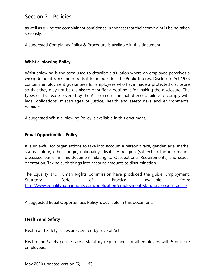as well as giving the complainant confidence in the fact that their complaint is being taken seriously.

A suggested Complaints Policy & Procedure is available in this document.

## **Whistle-blowing Policy**

Whistleblowing is the term used to describe a situation where an employee perceives a wrongdoing at work and reports it to an outsider. The Public Interest Disclosure Act 1998 contains employment guarantees for employees who have made a protected disclosure so that they may not be dismissed or suffer a detriment for making the disclosure. The types of disclosure covered by the Act concern criminal offences, failure to comply with legal obligations, miscarriages of justice, health and safety risks and environmental damage.

A suggested Whistle-blowing Policy is available in this document.

# **Equal Opportunities Policy**

It is unlawful for organisations to take into account a person's race, gender, age, marital status, colour, ethnic origin, nationality, disability, religion (subject to the information discussed earlier in this document relating to Occupational Requirements) and sexual orientation. Taking such things into account amounts to discrimination.

The Equality and Human Rights Commission have produced the guide: Employment: Statutory Code of Practice available from: <http://www.equalityhumanrights.com/publication/employment-statutory-code-practice>

A suggested Equal Opportunities Policy is available in this document.

## **Health and Safety**

Health and Safety issues are covered by several Acts.

Health and Safety policies are a statutory requirement for all employers with 5 or more employees.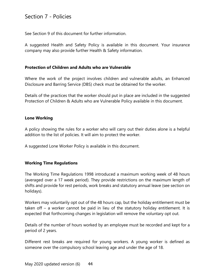See Section 9 of this document for further information.

A suggested Health and Safety Policy is available in this document. Your insurance company may also provide further Health & Safety information.

#### **Protection of Children and Adults who are Vulnerable**

Where the work of the project involves children and vulnerable adults, an Enhanced Disclosure and Barring Service (DBS) check must be obtained for the worker.

Details of the practices that the worker should put in place are included in the suggested Protection of Children & Adults who are Vulnerable Policy available in this document.

#### **Lone Working**

A policy showing the rules for a worker who will carry out their duties alone is a helpful addition to the list of policies. It will aim to protect the worker.

A suggested Lone Worker Policy is available in this document.

#### **Working Time Regulations**

The Working Time Regulations 1998 introduced a maximum working week of 48 hours (averaged over a 17 week period). They provide restrictions on the maximum length of shifts and provide for rest periods, work breaks and statutory annual leave (see section on holidays).

Workers may voluntarily opt out of the 48 hours cap, but the holiday entitlement must be taken off – a worker cannot be paid in lieu of the statutory holiday entitlement. It is expected that forthcoming changes in legislation will remove the voluntary opt out.

Details of the number of hours worked by an employee must be recorded and kept for a period of 2 years.

Different rest breaks are required for young workers. A young worker is defined as someone over the compulsory school leaving age and under the age of 18.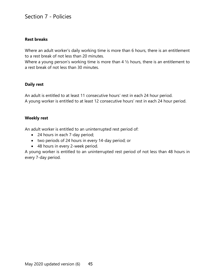#### **Rest breaks**

Where an adult worker's daily working time is more than 6 hours, there is an entitlement to a rest break of not less than 20 minutes.

Where a young person's working time is more than 4  $\frac{1}{2}$  hours, there is an entitlement to a rest break of not less than 30 minutes.

#### **Daily rest**

An adult is entitled to at least 11 consecutive hours' rest in each 24 hour period. A young worker is entitled to at least 12 consecutive hours' rest in each 24 hour period.

#### **Weekly rest**

An adult worker is entitled to an uninterrupted rest period of:

- 24 hours in each 7-day period;
- two periods of 24 hours in every 14-day period; or
- 48 hours in every 2-week period.

A young worker is entitled to an uninterrupted rest period of not less than 48 hours in every 7-day period.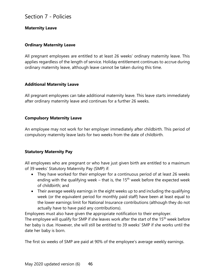## **Maternity Leave**

#### **Ordinary Maternity Leave**

All pregnant employees are entitled to at least 26 weeks' ordinary maternity leave. This applies regardless of the length of service. Holiday entitlement continues to accrue during ordinary maternity leave, although leave cannot be taken during this time.

#### **Additional Maternity Leave**

All pregnant employees can take additional maternity leave. This leave starts immediately after ordinary maternity leave and continues for a further 26 weeks.

#### **Compulsory Maternity Leave**

An employee may not work for her employer immediately after childbirth. This period of compulsory maternity leave lasts for two weeks from the date of childbirth.

## **Statutory Maternity Pay**

All employees who are pregnant or who have just given birth are entitled to a maximum of 39 weeks' Statutory Maternity Pay (SMP) if:

- They have worked for their employer for a continuous period of at least 26 weeks ending with the qualifying week – that is, the  $15<sup>th</sup>$  week before the expected week of childbirth; and
- Their average weekly earnings in the eight weeks up to and including the qualifying week (or the equivalent period for monthly paid staff) have been at least equal to the lower earnings limit for National Insurance contributions (although they do not actually have to have paid any contributions).

Employees must also have given the appropriate notification to their employer.

The employee will qualify for SMP if she leaves work after the start of the 15<sup>th</sup> week before her baby is due. However, she will still be entitled to 39 weeks' SMP if she works until the date her baby is born.

The first six weeks of SMP are paid at 90% of the employee's average weekly earnings.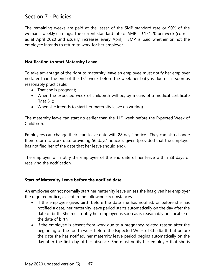The remaining weeks are paid at the lesser of the SMP standard rate or 90% of the woman's weekly earnings. The current standard rate of SMP is £151.20 per week (correct as at April 2020 and usually increases every April). SMP is paid whether or not the employee intends to return to work for her employer.

## **Notification to start Maternity Leave**

To take advantage of the right to maternity leave an employee must notify her employer no later than the end of the  $15<sup>th</sup>$  week before the week her baby is due or as soon as reasonably practicable:

- That she is pregnant;
- When the expected week of childbirth will be, by means of a medical certificate (Mat B1);
- When she intends to start her maternity leave (in writing).

The maternity leave can start no earlier than the  $11<sup>th</sup>$  week before the Expected Week of Childbirth.

Employees can change their start leave date with 28 days' notice. They can also change their return to work date providing 56 days' notice is given (provided that the employer has notified her of the date that her leave should end).

The employer will notify the employee of the end date of her leave within 28 days of receiving the notification.

## **Start of Maternity Leave before the notified date**

An employee cannot normally start her maternity leave unless she has given her employer the required notice, except in the following circumstances:

- If the employee gives birth before the date she has notified, or before she has notified a date, her maternity leave period starts automatically on the day after the date of birth. She must notify her employer as soon as is reasonably practicable of the date of birth.
- If the employee is absent from work due to a pregnancy-related reason after the beginning of the fourth week before the Expected Week of Childbirth but before the date she has notified, her maternity leave period begins automatically on the day after the first day of her absence. She must notify her employer that she is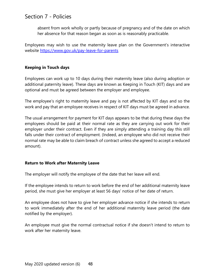absent from work wholly or partly because of pregnancy and of the date on which her absence for that reason began as soon as is reasonably practicable.

Employees may wish to use the maternity leave plan on the Government's interactive website<https://www.gov.uk/pay-leave-for-parents>

## **Keeping in Touch days**

Employees can work up to 10 days during their maternity leave (also during adoption or additional paternity leave). These days are known as Keeping in Touch (KIT) days and are optional and must be agreed between the employer and employee.

The employee's right to maternity leave and pay is not affected by KIT days and so the work and pay that an employee receives in respect of KIT days must be agreed in advance.

The usual arrangement for payment for KIT days appears to be that during these days the employees should be paid at their normal rate as they are carrying out work for their employer under their contract. Even if they are simply attending a training day this still falls under their contract of employment. (Indeed, an employee who did not receive their normal rate may be able to claim breach of contract unless she agreed to accept a reduced amount).

#### **Return to Work after Maternity Leave**

The employer will notify the employee of the date that her leave will end.

If the employee intends to return to work before the end of her additional maternity leave period, she must give her employer at least 56 days' notice of her date of return.

An employee does not have to give her employer advance notice if she intends to return to work immediately after the end of her additional maternity leave period (the date notified by the employer).

An employee must give the normal contractual notice if she doesn't intend to return to work after her maternity leave.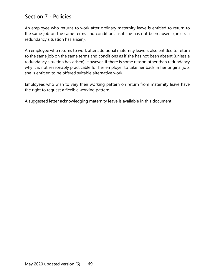An employee who returns to work after ordinary maternity leave is entitled to return to the same job on the same terms and conditions as if she has not been absent (unless a redundancy situation has arisen).

An employee who returns to work after additional maternity leave is also entitled to return to the same job on the same terms and conditions as if she has not been absent (unless a redundancy situation has arisen). However, if there is some reason other than redundancy why it is not reasonably practicable for her employer to take her back in her original job, she is entitled to be offered suitable alternative work.

Employees who wish to vary their working pattern on return from maternity leave have the right to request a flexible working pattern.

A suggested letter acknowledging maternity leave is available in this document.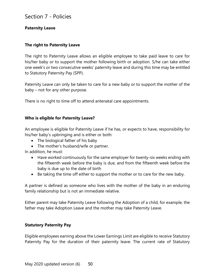#### **Paternity Leave**

#### **The right to Paternity Leave**

The right to Paternity Leave allows an eligible employee to take paid leave to care for his/her baby or to support the mother following birth or adoption. S/he can take either one week's or two consecutive weeks' paternity leave and during this time may be entitled to Statutory Paternity Pay (SPP).

Paternity Leave can only be taken to care for a new baby or to support the mother of the baby – not for any other purpose.

There is no right to time off to attend antenatal care appointments.

#### **Who is eligible for Paternity Leave?**

An employee is eligible for Paternity Leave if he has, or expects to have, responsibility for his/her baby's upbringing and is either or both:

- The biological father of his baby
- The mother's husband/wife or partner.

In addition, he must:

- Have worked continuously for the same employer for twenty-six weeks ending with the fifteenth week before the baby is due, and from the fifteenth week before the baby is due up to the date of birth
- Be taking the time off either to support the mother or to care for the new baby.

A partner is defined as someone who lives with the mother of the baby in an enduring family relationship but is not an immediate relative.

Either parent may take Paternity Leave following the Adoption of a child, for example, the father may take Adoption Leave and the mother may take Paternity Leave.

## **Statutory Paternity Pay**

Eligible employees earning above the Lower Earnings Limit are eligible to receive Statutory Paternity Pay for the duration of their paternity leave. The current rate of Statutory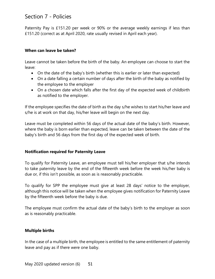Paternity Pay is £151.20 per week or 90% or the average weekly earnings if less than £151.20 (correct as at April 2020, rate usually revised in April each year).

#### **When can leave be taken?**

Leave cannot be taken before the birth of the baby. An employee can choose to start the leave:

- On the date of the baby's birth (whether this is earlier or later than expected)
- On a date falling a certain number of days after the birth of the baby as notified by the employee to the employer
- On a chosen date which falls after the first day of the expected week of childbirth as notified to the employer.

If the employee specifies the date of birth as the day s/he wishes to start his/her leave and s/he is at work on that day, his/her leave will begin on the next day.

Leave must be completed within 56 days of the actual date of the baby's birth. However, where the baby is born earlier than expected, leave can be taken between the date of the baby's birth and 56 days from the first day of the expected week of birth.

#### **Notification required for Paternity Leave**

To qualify for Paternity Leave, an employee must tell his/her employer that s/he intends to take paternity leave by the end of the fifteenth week before the week his/her baby is due or, if this isn't possible, as soon as is reasonably practicable.

To qualify for SPP the employee must give at least 28 days' notice to the employer, although this notice will be taken when the employee gives notification for Paternity Leave by the fifteenth week before the baby is due.

The employee must confirm the actual date of the baby's birth to the employer as soon as is reasonably practicable.

#### **Multiple births**

In the case of a multiple birth, the employee is entitled to the same entitlement of paternity leave and pay as if there were one baby.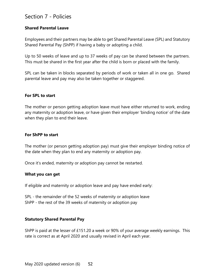## **Shared Parental Leave**

Employees and their partners may be able to get Shared Parental Leave (SPL) and Statutory Shared Parental Pay (ShPP) if having a baby or adopting a child.

Up to 50 weeks of leave and up to 37 weeks of pay can be shared between the partners. This must be shared in the first year after the child is born or placed with the family.

SPL can be taken in blocks separated by periods of work or taken all in one go. Shared parental leave and pay may also be taken together or staggered.

#### **For SPL to start**

The mother or person getting adoption leave must have either returned to work, ending any maternity or adoption leave, or have given their employer 'binding notice' of the date when they plan to end their leave.

#### **For ShPP to start**

The mother (or person getting adoption pay) must give their employer binding notice of the date when they plan to end any maternity or adoption pay.

Once it's ended, maternity or adoption pay cannot be restarted.

## **What you can get**

If eligible and maternity or adoption leave and pay have ended early:

SPL - the remainder of the 52 weeks of maternity or adoption leave ShPP - the rest of the 39 weeks of maternity or adoption pay

#### **Statutory Shared Parental Pay**

ShPP is paid at the lesser of £151.20 a week or 90% of your average weekly earnings. This rate is correct as at April 2020 and usually revised in April each year.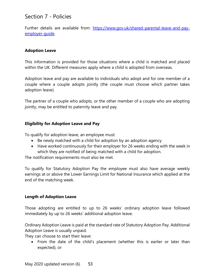Further details are available from: [https://www.gov.uk/shared-parental-leave-and-pay](https://www.gov.uk/shared-parental-leave-and-pay-employer-guide)[employer-guide](https://www.gov.uk/shared-parental-leave-and-pay-employer-guide)

## **Adoption Leave**

This information is provided for those situations where a child is matched and placed within the UK. Different measures apply where a child is adopted from overseas.

Adoption leave and pay are available to individuals who adopt and for one member of a couple where a couple adopts jointly (the couple must choose which partner takes adoption leave).

The partner of a couple who adopts, or the other member of a couple who are adopting jointly, may be entitled to paternity leave and pay.

#### **Eligibility for Adoption Leave and Pay**

To qualify for adoption leave, an employee must:

- Be newly matched with a child for adoption by an adoption agency
- Have worked continuously for their employer for 26 weeks ending with the week in which they are notified of being matched with a child for adoption.

The notification requirements must also be met.

To qualify for Statutory Adoption Pay the employee must also have average weekly earnings at or above the Lower Earnings Limit for National Insurance which applied at the end of the matching week.

## **Length of Adoption Leave**

Those adopting are entitled to up to 26 weeks' ordinary adoption leave followed immediately by up to 26 weeks' additional adoption leave.

Ordinary Adoption Leave is paid at the standard rate of Statutory Adoption Pay. Additional Adoption Leave is usually unpaid.

They can choose to start their leave:

• From the date of the child's placement (whether this is earlier or later than expected), or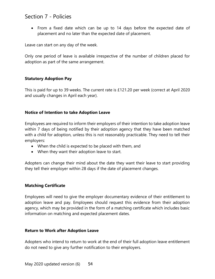• From a fixed date which can be up to 14 days before the expected date of placement and no later than the expected date of placement.

Leave can start on any day of the week.

Only one period of leave is available irrespective of the number of children placed for adoption as part of the same arrangement.

#### **Statutory Adoption Pay**

This is paid for up to 39 weeks. The current rate is £121.20 per week (correct at April 2020 and usually changes in April each year).

#### **Notice of Intention to take Adoption Leave**

Employees are required to inform their employers of their intention to take adoption leave within 7 days of being notified by their adoption agency that they have been matched with a child for adoption, unless this is not reasonably practicable. They need to tell their employers:

- When the child is expected to be placed with them, and
- When they want their adoption leave to start.

Adopters can change their mind about the date they want their leave to start providing they tell their employer within 28 days if the date of placement changes.

#### **Matching Certificate**

Employees will need to give the employer documentary evidence of their entitlement to adoption leave and pay. Employees should request this evidence from their adoption agency, which may be provided in the form of a matching certificate which includes basic information on matching and expected placement dates.

#### **Return to Work after Adoption Leave**

Adopters who intend to return to work at the end of their full adoption leave entitlement do not need to give any further notification to their employers.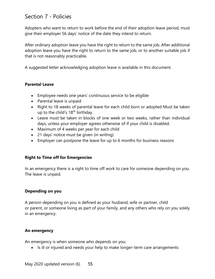Adopters who want to return to work before the end of their adoption leave period, must give their employer 56 days' notice of the date they intend to return.

After ordinary adoption leave you have the right to return to the same job. After additional adoption leave you have the right to return to the same job, or to another suitable job if that is not reasonably practicable.

A suggested letter acknowledging adoption leave is available in this document.

## **Parental Leave**

- Employee needs one years' continuous service to be eligible
- Parental leave is unpaid
- Right to 18 weeks of parental leave for each child born or adopted Must be taken up to the child's  $18<sup>th</sup>$  birthday.
- Leave must be taken in blocks of one week or two weeks, rather than individual days, unless your employer agrees otherwise of if your child is disabled.
- Maximum of 4 weeks per year for each child
- 21 days' notice must be given (in writing)
- Employer can postpone the leave for up to 6 months for business reasons

## **Right to Time off for Emergencies**

In an emergency there is a right to time off work to care for someone depending on you. The leave is unpaid.

#### **Depending on you**

A person depending on you is defined as your husband, wife or partner, child or parent, or someone living as part of your family, and any others who rely on you solely in an emergency.

## **An emergency**

An emergency is when someone who depends on you:

• Is ill or injured and needs your help to make longer-term care arrangements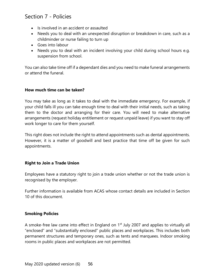- Is involved in an accident or assaulted
- Needs you to deal with an unexpected disruption or breakdown in care, such as a childminder or nurse failing to turn up
- Goes into labour
- Needs you to deal with an incident involving your child during school hours e.g. suspension from school.

You can also take time off if a dependant dies and you need to make funeral arrangements or attend the funeral.

#### **How much time can be taken?**

You may take as long as it takes to deal with the immediate emergency. For example, if your child falls ill you can take enough time to deal with their initial needs, such as taking them to the doctor and arranging for their care. You will need to make alternative arrangements (request holiday entitlement or request unpaid leave) if you want to stay off work longer to care for them yourself.

This right does not include the right to attend appointments such as dental appointments. However, it is a matter of goodwill and best practice that time off be given for such appointments.

#### **Right to Join a Trade Union**

Employees have a statutory right to join a trade union whether or not the trade union is recognised by the employer.

Further information is available from ACAS whose contact details are included in Section 10 of this document.

## **Smoking Policies**

A smoke-free law came into effect in England on 1<sup>st</sup> July 2007 and applies to virtually all "enclosed" and "substantially enclosed" public places and workplaces. This includes both permanent structures and temporary ones, such as tents and marquees. Indoor smoking rooms in public places and workplaces are not permitted.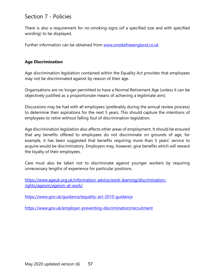There is also a requirement for no-smoking signs (of a specified size and with specified wording) to be displayed.

Further information can be obtained from [www.smokefreeengland.co.uk](http://www.smokefreeengland.co.uk/)

## **Age Discrimination**

Age discrimination legislation contained within the Equality Act provides that employees may not be discriminated against by reason of their age.

Organisations are no longer permitted to have a Normal Retirement Age (unless it can be objectively justified as a proportionate means of achieving a legitimate aim).

Discussions may be had with all employees (preferably during the annual review process) to determine their aspirations for the next 5 years. This should capture the intentions of employees to retire without falling foul of discrimination legislation.

Age discrimination legislation also affects other areas of employment. It should be ensured that any benefits offered to employees do not discriminate on grounds of age, for example, it has been suggested that benefits requiring more than 5 years' service to acquire would be discriminatory. Employers may, however, give benefits which will reward the loyalty of their employees.

Care must also be taken not to discriminate against younger workers by requiring unnecessary lengths of experience for particular positions.

[https://www.ageuk.org.uk/information-advice/work-learning/discrimination](https://www.ageuk.org.uk/information-advice/work-learning/discrimination-rights/ageism/ageism-at-work/)[rights/ageism/ageism-at-work/](https://www.ageuk.org.uk/information-advice/work-learning/discrimination-rights/ageism/ageism-at-work/)

<https://www.gov.uk/guidance/equality-act-2010-guidance>

<https://www.gov.uk/employer-preventing-discrimination/recruitment>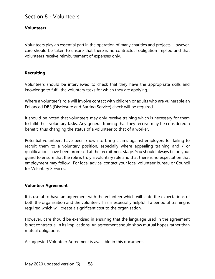# Section 8 - Volunteers

## **Volunteers**

Volunteers play an essential part in the operation of many charities and projects. However, care should be taken to ensure that there is no contractual obligation implied and that volunteers receive reimbursement of expenses only.

#### **Recruiting**

Volunteers should be interviewed to check that they have the appropriate skills and knowledge to fulfil the voluntary tasks for which they are applying.

Where a volunteer's role will involve contact with children or adults who are vulnerable an Enhanced DBS (Disclosure and Barring Service) check will be required.

It should be noted that volunteers may only receive training which is necessary for them to fulfil their voluntary tasks. Any general training that they receive may be considered a benefit, thus changing the status of a volunteer to that of a worker.

Potential volunteers have been known to bring claims against employers for failing to recruit them to a voluntary position, especially where appealing training and / or qualifications have been promised at the recruitment stage. You should always be on your guard to ensure that the role is truly a voluntary role and that there is no expectation that employment may follow. For local advice, contact your local volunteer bureau or Council for Voluntary Services.

#### **Volunteer Agreement**

It is useful to have an agreement with the volunteer which will state the expectations of both the organisation and the volunteer. This is especially helpful if a period of training is required which will create a significant cost to the organisation.

However, care should be exercised in ensuring that the language used in the agreement is not contractual in its implications. An agreement should show mutual hopes rather than mutual obligations.

A suggested Volunteer Agreement is available in this document.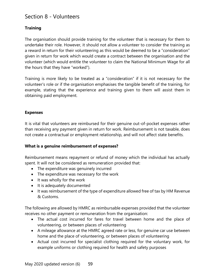# Section 8 - Volunteers

# **Training**

The organisation should provide training for the volunteer that is necessary for them to undertake their role. However, it should not allow a volunteer to consider the training as a reward in return for their volunteering as this would be deemed to be a "consideration" given in return for work which would create a contract between the organisation and the volunteer (which would entitle the volunteer to claim the National Minimum Wage for all the hours that they have "worked").

Training is more likely to be treated as a "consideration" if it is not necessary for the volunteer's role or if the organisation emphasises the tangible benefit of the training, for example, stating that the experience and training given to them will assist them in obtaining paid employment.

## **Expenses**

It is vital that volunteers are reimbursed for their genuine out-of-pocket expenses rather than receiving any payment given in return for work. Reimbursement is not taxable, does not create a contractual or employment relationship, and will not affect state benefits.

## **What is a genuine reimbursement of expenses?**

Reimbursement means repayment or refund of money which the individual has actually spent. It will not be considered as remuneration provided that:

- The expenditure was genuinely incurred
- The expenditure was necessary for the work
- It was wholly for the work
- It is adequately documented
- It was reimbursement of the type of expenditure allowed free of tax by HM Revenue & Customs.

The following are allowed by HMRC as reimbursable expenses provided that the volunteer receives no other payment or remuneration from the organisation:

- The actual cost incurred for fares for travel between home and the place of volunteering, or between places of volunteering
- A mileage allowance at the HMRC agreed rate or less, for genuine car use between home and the place of volunteering, or between places of volunteering
- Actual cost incurred for specialist clothing required for the voluntary work, for example uniforms or clothing required for health and safety purposes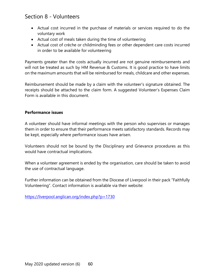# Section 8 - Volunteers

- Actual cost incurred in the purchase of materials or services required to do the voluntary work
- Actual cost of meals taken during the time of volunteering
- Actual cost of crèche or childminding fees or other dependent care costs incurred in order to be available for volunteering

Payments greater than the costs actually incurred are not genuine reimbursements and will not be treated as such by HM Revenue & Customs. It is good practice to have limits on the maximum amounts that will be reimbursed for meals, childcare and other expenses.

Reimbursement should be made by a claim with the volunteer's signature obtained. The receipts should be attached to the claim form. A suggested Volunteer's Expenses Claim Form is available in this document.

# **Performance issues**

A volunteer should have informal meetings with the person who supervises or manages them in order to ensure that their performance meets satisfactory standards. Records may be kept, especially where performance issues have arisen.

Volunteers should not be bound by the Disciplinary and Grievance procedures as this would have contractual implications.

When a volunteer agreement is ended by the organisation, care should be taken to avoid the use of contractual language.

Further information can be obtained from the Diocese of Liverpool in their pack "Faithfully Volunteering". Contact information is available via their website:

<https://liverpool.anglican.org/index.php?p=1730>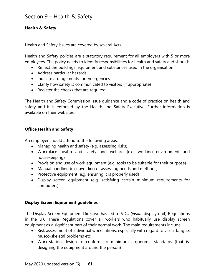# Section 9 – Health & Safety

## **Health & Safety**

Health and Safety issues are covered by several Acts.

Health and Safety policies are a statutory requirement for all employers with 5 or more employees. The policy needs to identify responsibilities for health and safety and should:

- Reflect the buildings, equipment and substances used in the organisation
- Address particular hazards
- Indicate arrangements for emergencies
- Clarify how safety is communicated to visitors (if appropriate)
- Register the checks that are required.

The Health and Safety Commission issue guidance and a code of practice on health and safety and it is enforced by the Health and Safety Executive. Further information is available on their websites.

## **Office Health and Safety**

An employer should attend to the following areas:

- Managing health and safety (e.g. assessing risks)
- Workplace health and safety and welfare (e.g. working environment and housekeeping)
- Provision and use of work equipment (e.g. tools to be suitable for their purpose)
- Manual handling (e.g. avoiding or assessing needs and methods)
- Protective equipment (e.g. ensuring it is properly used)
- Display screen equipment (e.g. satisfying certain minimum requirements for computers).

## **Display Screen Equipment guidelines**

The Display Screen Equipment Directive has led to VDU (visual display unit) Regulations in the UK. These Regulations cover all workers who habitually use display screen equipment as a significant part of their normal work. The main requirements include:

- Risk assessment of individual workstations, especially with regard to visual fatigue, musco-skeletal problems etc
- Work-station design to conform to minimum ergonomic standards (that is, designing the equipment around the person)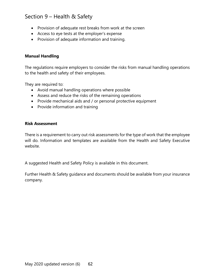# Section 9 – Health & Safety

- Provision of adequate rest breaks from work at the screen
- Access to eye tests at the employer's expense
- Provision of adequate information and training.

## **Manual Handling**

The regulations require employers to consider the risks from manual handling operations to the health and safety of their employees.

They are required to:

- Avoid manual handling operations where possible
- Assess and reduce the risks of the remaining operations
- Provide mechanical aids and / or personal protective equipment
- Provide information and training

#### **Risk Assessment**

There is a requirement to carry out risk assessments for the type of work that the employee will do. Information and templates are available from the Health and Safety Executive website.

A suggested Health and Safety Policy is available in this document.

Further Health & Safety guidance and documents should be available from your insurance company.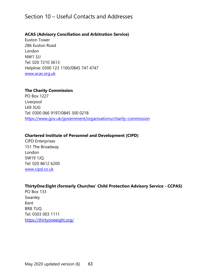## **ACAS (Advisory Conciliation and Arbitration Service)**

Euston Tower 286 Euston Road London NW1 3JJ Tel: 020 7210 3613 Helpline: 0300 123 1100/0845 747 4747 [www.acas.org.uk](http://www.acas.org.uk/)

#### **The Charity Commission**

PO Box 1227 Liverpool L69 3UG Tel: 0300 066 9197/0845 300 0218 <https://www.gov.uk/government/organisations/charity-commission>

## **Chartered Institute of Personnel and Development (CIPD)**

CIPD Enterprises 151 The Broadway London SW19 1JQ Tel: 020 8612 6200 [www.cipd.co.uk](http://www.cipd.co.uk/)

## **ThirtyOne:Eight (formerly Churches' Child Protection Advisory Service - CCPAS)**

PO Box 133 Swanley Kent BR8 7UQ Tel: 0303 003 1111 <https://thirtyoneeight.org/>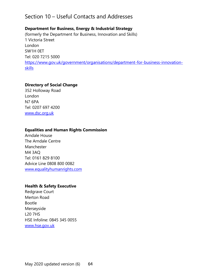#### **Department for Business, Energy & Industrial Strategy**

(formerly the Department for Business, Innovation and Skills) 1 Victoria Street London SW1H 0ET Tel: 020 7215 5000 [https://www.gov.uk/government/organisations/department-for-business-innovation](https://www.gov.uk/government/organisations/department-for-business-innovation-skills)**[skills](https://www.gov.uk/government/organisations/department-for-business-innovation-skills)** 

## **Directory of Social Change**

352 Holloway Road London N7 6PA Tel: 0207 697 4200 [www.dsc.org.uk](http://www.dsc.org.uk/)

#### **Equalities and Human Rights Commission**

Arndale House The Arndale Centre Manchester M4 3AQ Tel: 0161 829 8100 Advice Line 0808 800 0082 [www.equalityhumanrights.com](http://www.equalityhumanrights.com/)

#### **Health & Safety Executive**

Redgrave Court Merton Road Bootle Merseyside L20 7HS HSE Infoline: 0845 345 0055 [www.hse.gov.uk](http://www.hse.gov.uk/)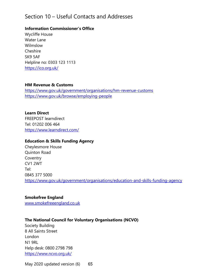## **Information Commissioner's Office**

Wycliffe House Water Lane Wilmslow Cheshire SK9 5AF Helpline no: 0303 123 1113 <https://ico.org.uk/>

#### **HM Revenue & Customs**

<https://www.gov.uk/government/organisations/hm-revenue-customs> <https://www.gov.uk/browse/employing-people>

# **Learn Direct**

FREEPOST learndirect Tel: 01202 006 464 <https://www.learndirect.com/>

## **Education & Skills Funding Agency**

Cheylesmore House Quinton Road **Coventry** CV1 2WT Tel: 0845 377 5000 <https://www.gov.uk/government/organisations/education-and-skills-funding-agency>

# **Smokefree England**

[www.smokefreeengland.co.uk](http://www.smokefreeengland.co.uk/)

# **The National Council for Voluntary Organisations (NCVO)**

Society Building 8 All Saints Street London N1 9RL Help desk: 0800 2798 798 <https://www.ncvo.org.uk/>

May 2020 updated version (6) 65